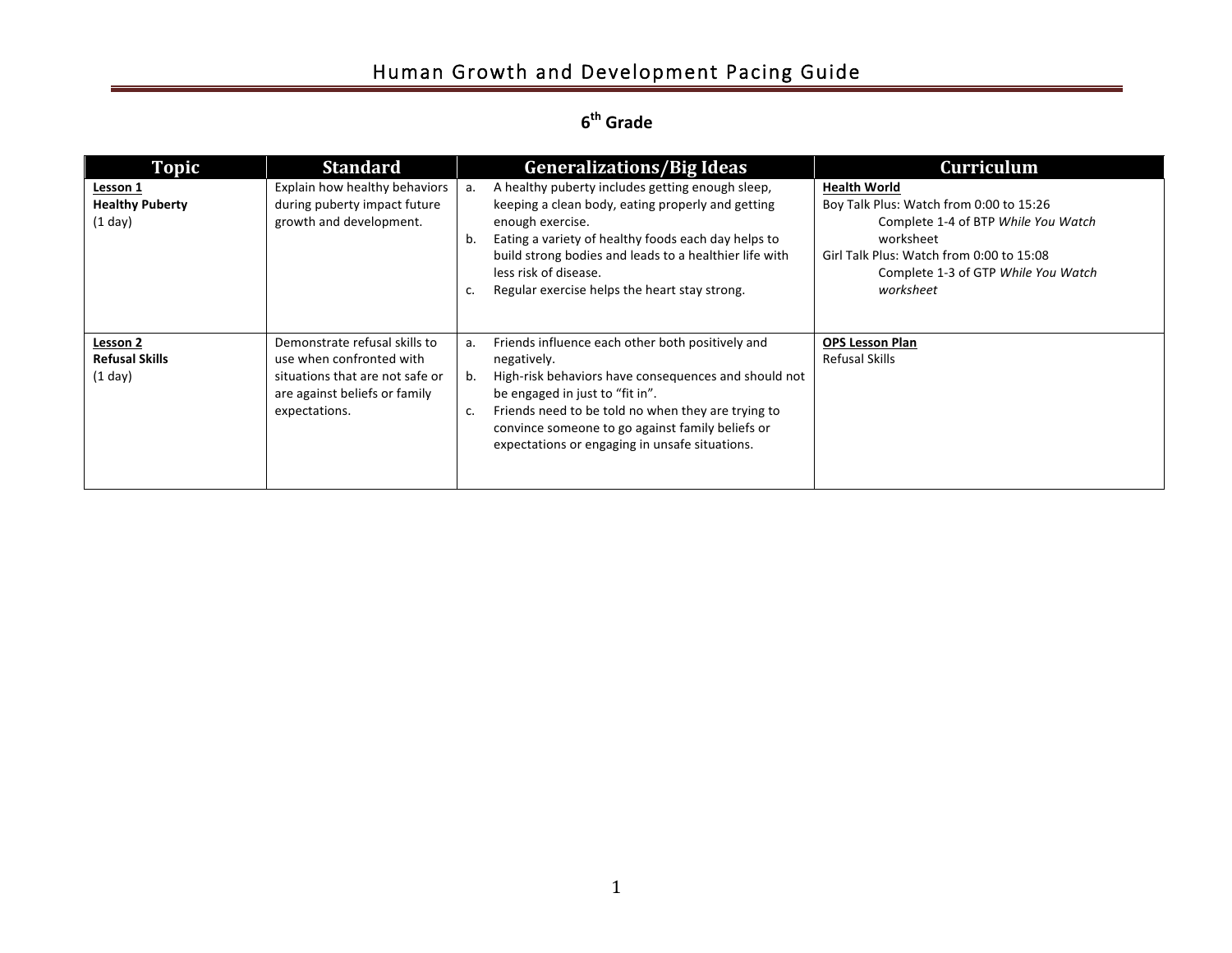# Human Growth and Development Pacing Guide

### **6<sup>th</sup> Grade**

| Topic                                           | <b>Standard</b>                                                                                                                                | <b>Generalizations/Big Ideas</b>                                                                                                                                                                                                                                                                                                         | <b>Curriculum</b>                                                                                                                                                                                                  |
|-------------------------------------------------|------------------------------------------------------------------------------------------------------------------------------------------------|------------------------------------------------------------------------------------------------------------------------------------------------------------------------------------------------------------------------------------------------------------------------------------------------------------------------------------------|--------------------------------------------------------------------------------------------------------------------------------------------------------------------------------------------------------------------|
| Lesson 1<br><b>Healthy Puberty</b><br>$(1$ day) | Explain how healthy behaviors<br>during puberty impact future<br>growth and development.                                                       | A healthy puberty includes getting enough sleep,<br>a.<br>keeping a clean body, eating properly and getting<br>enough exercise.<br>Eating a variety of healthy foods each day helps to<br>b.<br>build strong bodies and leads to a healthier life with<br>less risk of disease.<br>Regular exercise helps the heart stay strong.<br>c.   | <b>Health World</b><br>Boy Talk Plus: Watch from 0:00 to 15:26<br>Complete 1-4 of BTP While You Watch<br>worksheet<br>Girl Talk Plus: Watch from 0:00 to 15:08<br>Complete 1-3 of GTP While You Watch<br>worksheet |
| Lesson 2<br><b>Refusal Skills</b><br>$(1$ day)  | Demonstrate refusal skills to<br>use when confronted with<br>situations that are not safe or<br>are against beliefs or family<br>expectations. | Friends influence each other both positively and<br>а.<br>negatively.<br>High-risk behaviors have consequences and should not<br>b.<br>be engaged in just to "fit in".<br>Friends need to be told no when they are trying to<br>c.<br>convince someone to go against family beliefs or<br>expectations or engaging in unsafe situations. | <b>OPS Lesson Plan</b><br><b>Refusal Skills</b>                                                                                                                                                                    |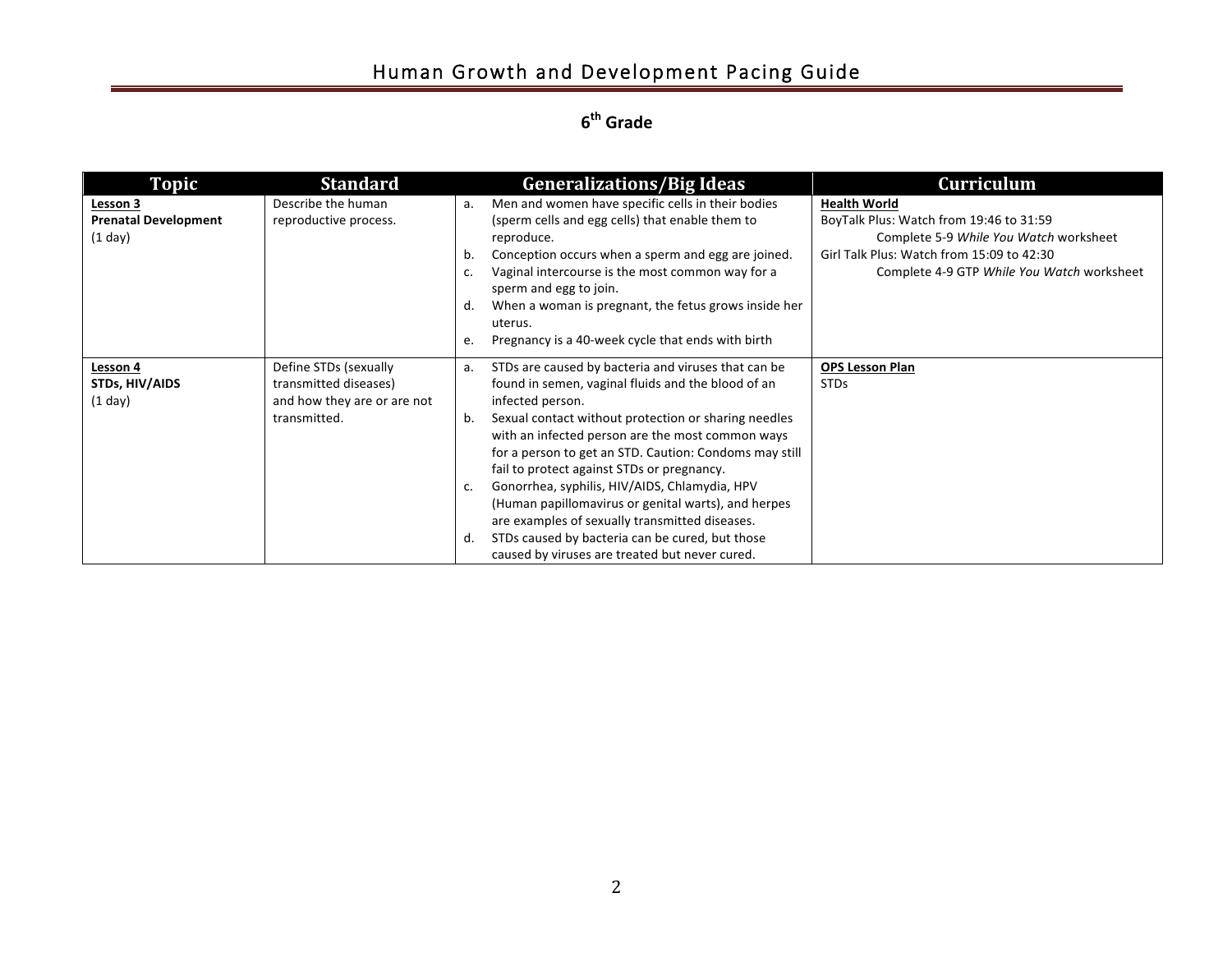# Human Growth and Development Pacing Guide

**6<sup>th</sup> Grade** 

| <b>Topic</b>                                         | <b>Standard</b>                                                                               | <b>Generalizations/Big Ideas</b>                                                                                                                                                                                                                                                                                                                                                                                                                                                                                                                                                                                                         | <b>Curriculum</b>                                                                                                                                                                                   |
|------------------------------------------------------|-----------------------------------------------------------------------------------------------|------------------------------------------------------------------------------------------------------------------------------------------------------------------------------------------------------------------------------------------------------------------------------------------------------------------------------------------------------------------------------------------------------------------------------------------------------------------------------------------------------------------------------------------------------------------------------------------------------------------------------------------|-----------------------------------------------------------------------------------------------------------------------------------------------------------------------------------------------------|
| Lesson 3<br><b>Prenatal Development</b><br>$(1$ day) | Describe the human<br>reproductive process.                                                   | Men and women have specific cells in their bodies<br>a.<br>(sperm cells and egg cells) that enable them to<br>reproduce.<br>Conception occurs when a sperm and egg are joined.<br>b.<br>Vaginal intercourse is the most common way for a<br>sperm and egg to join.<br>When a woman is pregnant, the fetus grows inside her<br>d.<br>uterus.<br>Pregnancy is a 40-week cycle that ends with birth<br>e.                                                                                                                                                                                                                                   | <b>Health World</b><br>BoyTalk Plus: Watch from 19:46 to 31:59<br>Complete 5-9 While You Watch worksheet<br>Girl Talk Plus: Watch from 15:09 to 42:30<br>Complete 4-9 GTP While You Watch worksheet |
| Lesson 4<br>STDs, HIV/AIDS<br>(1 day)                | Define STDs (sexually<br>transmitted diseases)<br>and how they are or are not<br>transmitted. | STDs are caused by bacteria and viruses that can be<br>a.<br>found in semen, vaginal fluids and the blood of an<br>infected person.<br>Sexual contact without protection or sharing needles<br>b.<br>with an infected person are the most common ways<br>for a person to get an STD. Caution: Condoms may still<br>fail to protect against STDs or pregnancy.<br>Gonorrhea, syphilis, HIV/AIDS, Chlamydia, HPV<br>c.<br>(Human papillomavirus or genital warts), and herpes<br>are examples of sexually transmitted diseases.<br>STDs caused by bacteria can be cured, but those<br>d.<br>caused by viruses are treated but never cured. | <b>OPS Lesson Plan</b><br><b>STDs</b>                                                                                                                                                               |